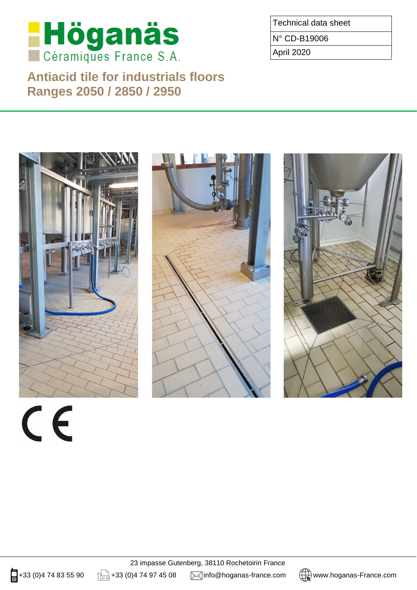

**Antiacid tile for industrials floors Ranges 2050 / 2850 / 2950**

Technical data sheet

N° CD-B19006

April 2020